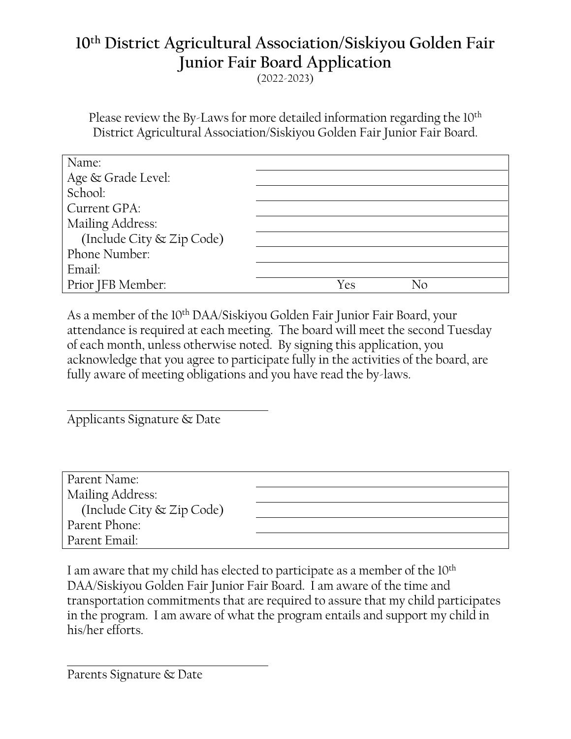## **10th District Agricultural Association/Siskiyou Golden Fair Junior Fair Board Application** (2022-2023)

Please review the By-Laws for more detailed information regarding the 10<sup>th</sup> District Agricultural Association/Siskiyou Golden Fair Junior Fair Board.

| Name:                     |           |
|---------------------------|-----------|
| Age & Grade Level:        |           |
| School:                   |           |
| Current GPA:              |           |
| Mailing Address:          |           |
| (Include City & Zip Code) |           |
| Phone Number:             |           |
| Email:                    |           |
| Prior JFB Member:         | Yes<br>Nο |

As a member of the 10th DAA/Siskiyou Golden Fair Junior Fair Board, your attendance is required at each meeting. The board will meet the second Tuesday of each month, unless otherwise noted. By signing this application, you acknowledge that you agree to participate fully in the activities of the board, are fully aware of meeting obligations and you have read the by-laws.

Applicants Signature & Date

| Parent Name:              |  |
|---------------------------|--|
| Mailing Address:          |  |
| (Include City & Zip Code) |  |
| Parent Phone:             |  |
| Parent Email:             |  |

I am aware that my child has elected to participate as a member of the 10<sup>th</sup> DAA/Siskiyou Golden Fair Junior Fair Board. I am aware of the time and transportation commitments that are required to assure that my child participates in the program. I am aware of what the program entails and support my child in his/her efforts.

Parents Signature & Date